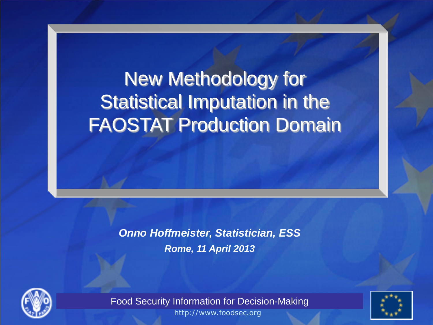# New Methodology for Statistical Imputation in the FAOSTAT Production Domain

*Onno Hoffmeister, Statistician, ESS Rome, 11 April 2013*





**The EC-FAO Food Security Information for Decision-Making Programme Food Security Information for Decision-Making** http://www.foodsec.org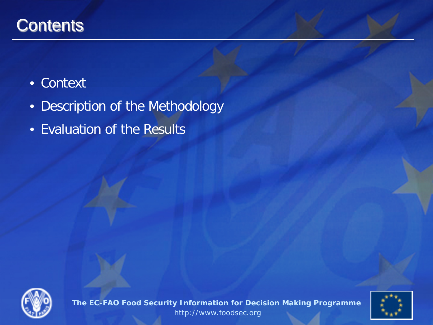### **Contents**

#### • Context

- Description of the Methodology
- Evaluation of the Results



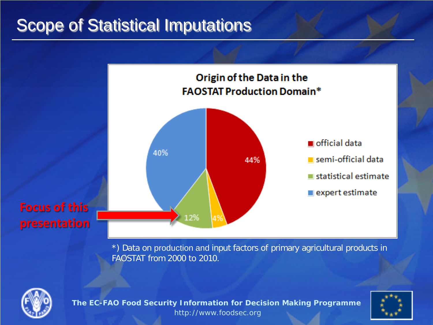### Scope of Statistical Imputations



\*) Data on production and input factors of primary agricultural products in FAOSTAT from 2000 to 2010.



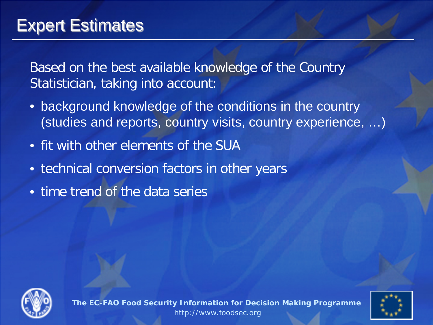### Expert Estimates

Based on the best available knowledge of the Country Statistician, taking into account:

- background knowledge of the conditions in the country (studies and reports, country visits, country experience, …)
- fit with other elements of the SUA
- technical conversion factors in other years
- time trend of the data series



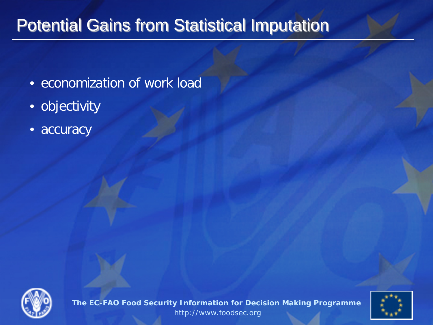### Potential Gains from Statistical Imputation

- economization of work load
- objectivity
- accuracy



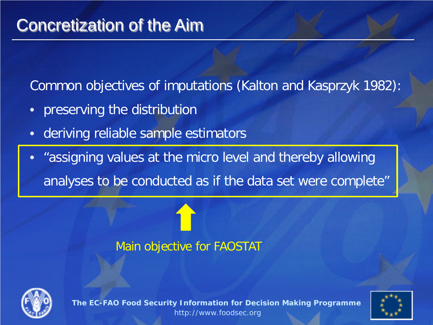### Concretization of the Aim

Common objectives of imputations (Kalton and Kasprzyk 1982):

- preserving the distribution
- deriving reliable sample estimators
- "assigning values at the micro level and thereby allowing analyses to be conducted as if the data set were complete"

#### Main objective for FAOSTAT



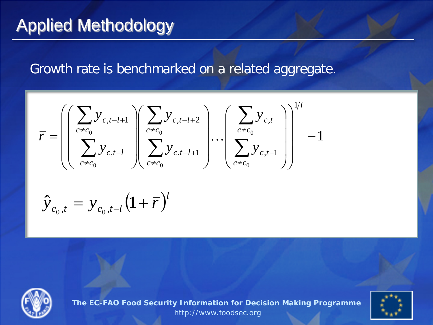#### Growth rate is benchmarked on a related aggregate.

$$
\bar{r} = \left( \left( \frac{\sum_{c \neq c_0} y_{c,t-l+1}}{\sum_{c \neq c_0} y_{c,t-l}} \right) \left( \frac{\sum_{c \neq c_0} y_{c,t-l+2}}{\sum_{c \neq c_0} y_{c,t-l+1}} \right) \cdots \left( \frac{\sum_{c \neq c_0} y_{c,t}}{\sum_{c \neq c_0} y_{c,t-1}} \right) \right)^{1/l} - 1
$$

$$
\hat{y}_{c_0,t} = y_{c_0,t-l} (1 + \overline{r})^l
$$



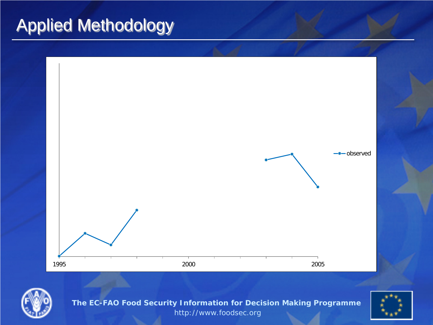



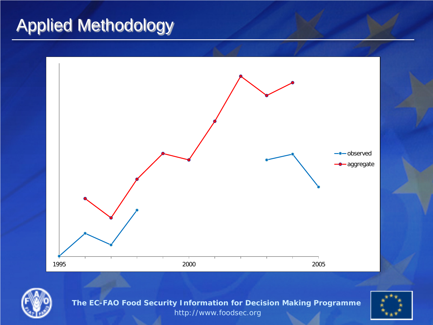



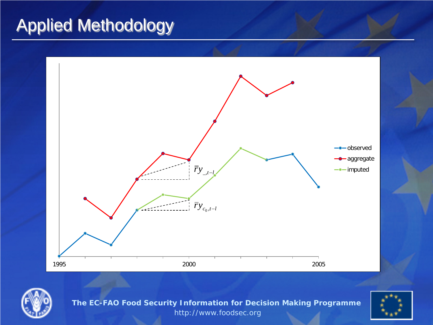



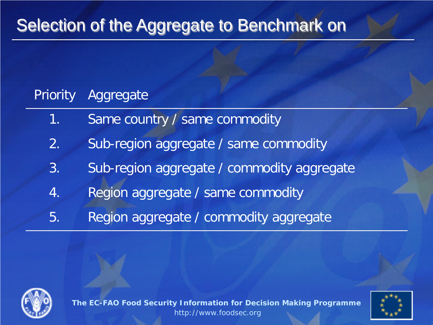### Selection of the Aggregate to Benchmark on

#### Priority Aggregate

- 1. Same country / same commodity
- 2. Sub-region aggregate / same commodity
- 3. Sub-region aggregate / commodity aggregate
- 4. Region aggregate / same commodity
- 5. Region aggregate / commodity aggregate



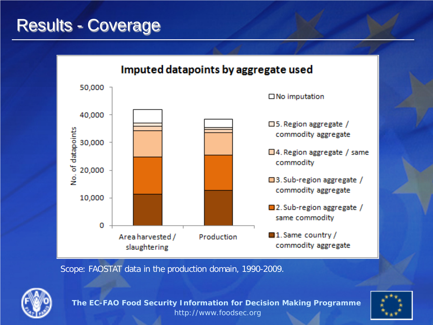### Results - Coverage



Scope: FAOSTAT data in the production domain, 1990-2009.



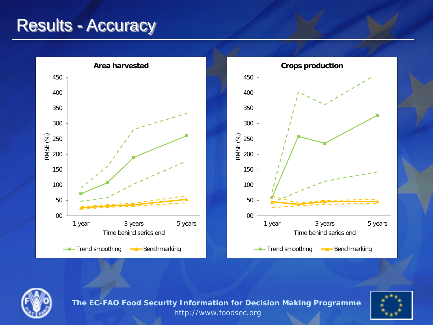### Results - Accuracy







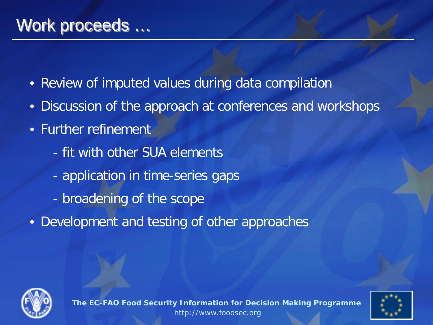- Review of imputed values during data compilation
- Discussion of the approach at conferences and workshops
- Further refinement
	- fit with other SUA elements
	- application in time-series gaps
	- broadening of the scope
- Development and testing of other approaches